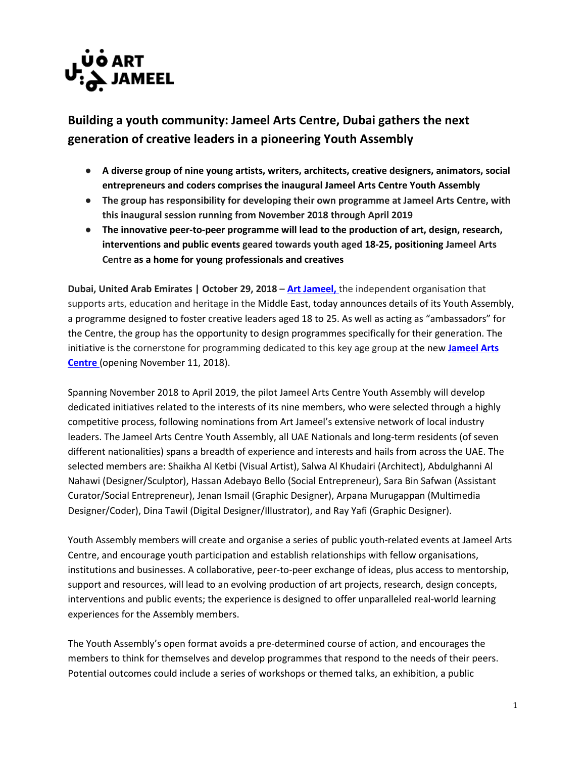

## **Building a youth community: Jameel Arts Centre, Dubai gathers the next generation of creative leaders in a pioneering Youth Assembly**

- **A diverse group of nine young artists, writers, architects, creative designers, animators, social entrepreneurs and coders comprises the inaugural Jameel Arts Centre Youth Assembly**
- **The group has responsibility for developing their own programme at Jameel Arts Centre, with this inaugural session running from November 2018 through April 2019**
- **The innovative peer-to-peer programme will lead to the production of art, design, research, interventions and public events geared towards youth aged 18-25, positioning Jameel Arts Centre as a home for young professionals and creatives**

**Dubai, United Arab Emirates | October 29, 2018 – [Art Jameel,](https://artjameel.org/)** the independent organisation that supports arts, education and heritage in the Middle East, today announces details of its Youth Assembly, a programme designed to foster creative leaders aged 18 to 25. As well as acting as "ambassadors" for the Centre, the group has the opportunity to design programmes specifically for their generation. The initiative is the cornerstone for programming dedicated to this key age group at the new **[Jameel Arts](http://www.jameelartscentre.org/)  [Centre](http://www.jameelartscentre.org/)** (opening November 11, 2018).

Spanning November 2018 to April 2019, the pilot Jameel Arts Centre Youth Assembly will develop dedicated initiatives related to the interests of its nine members, who were selected through a highly competitive process, following nominations from Art Jameel's extensive network of local industry leaders. The Jameel Arts Centre Youth Assembly, all UAE Nationals and long-term residents (of seven different nationalities) spans a breadth of experience and interests and hails from across the UAE. The selected members are: Shaikha Al Ketbi (Visual Artist), Salwa Al Khudairi (Architect), Abdulghanni Al Nahawi (Designer/Sculptor), Hassan Adebayo Bello (Social Entrepreneur), Sara Bin Safwan (Assistant Curator/Social Entrepreneur), Jenan Ismail (Graphic Designer), Arpana Murugappan (Multimedia Designer/Coder), Dina Tawil (Digital Designer/Illustrator), and Ray Yafi (Graphic Designer).

Youth Assembly members will create and organise a series of public youth-related events at Jameel Arts Centre, and encourage youth participation and establish relationships with fellow organisations, institutions and businesses. A collaborative, peer-to-peer exchange of ideas, plus access to mentorship, support and resources, will lead to an evolving production of art projects, research, design concepts, interventions and public events; the experience is designed to offer unparalleled real-world learning experiences for the Assembly members.

The Youth Assembly's open format avoids a pre-determined course of action, and encourages the members to think for themselves and develop programmes that respond to the needs of their peers. Potential outcomes could include a series of workshops or themed talks, an exhibition, a public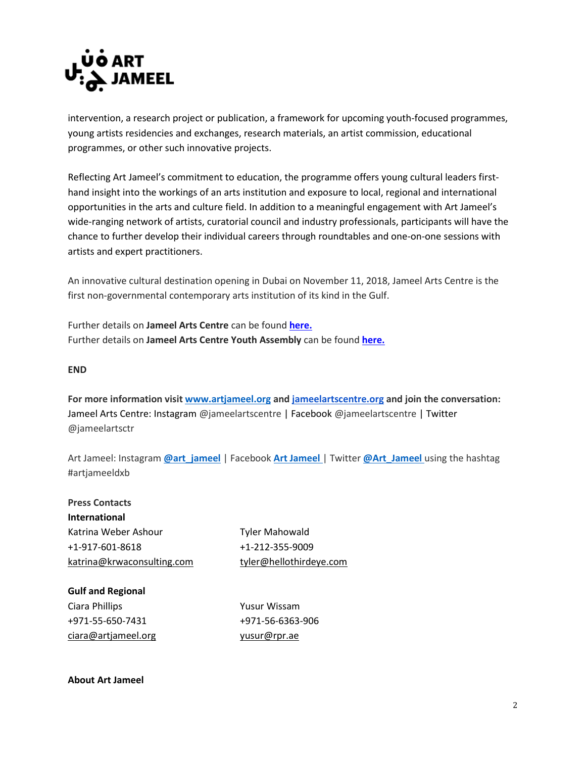

intervention, a research project or publication, a framework for upcoming youth-focused programmes, young artists residencies and exchanges, research materials, an artist commission, educational programmes, or other such innovative projects.

Reflecting Art Jameel's commitment to education, the programme offers young cultural leaders firsthand insight into the workings of an arts institution and exposure to local, regional and international opportunities in the arts and culture field. In addition to a meaningful engagement with Art Jameel's wide-ranging network of artists, curatorial council and industry professionals, participants will have the chance to further develop their individual careers through roundtables and one-on-one sessions with artists and expert practitioners.

An innovative cultural destination opening in Dubai on November 11, 2018, Jameel Arts Centre is the first non-governmental contemporary arts institution of its kind in the Gulf.

Further details on **Jameel Arts Centre** can be found **[here.](http://www.jameelartscentre.org/)** Further details on **Jameel Arts Centre Youth Assembly** can be found **[here.](https://jameelartscentre.org/programmes/youth-assembly/)**

## **END**

**For more information visi[t www.artjameel.org](http://www.artjameel.org/) and [jameelartscentre.org](http://jameelartscentre.org/) and join the conversation:** Jameel Arts Centre: Instagram [@jameelartscentre](https://www.instagram.com/jameelartscentre/) | Facebook @jameelartscentre | Twitter @jameelartsctr

Art Jameel: Instagram **[@art\\_jameel](https://www.instagram.com/art_jameel/)** | Facebook **[Art Jameel](https://www.facebook.com/art-jameel-891861424222667/)** | Twitter **[@Art\\_Jameel](https://twitter.com/art_jameel)** using the hashtag #artjameeldxb

**Press Contacts International**  Katrina Weber Ashour Tyler Mahowald +1-917-601-8618 +1-212-355-9009 [katrina@krwaconsulting.com](mailto:katrina@krwaconsulting.com) [tyler@hellothirdeye.com](mailto:tyler@hellothirdeye.com)

**Gulf and Regional**  Ciara Phillips **Yusur Wissam** +971-55-650-7431 +971-56-6363-906 [ciara@artjameel.org](mailto:ciara@artjameel.org) vusur@rpr.ae

**About Art Jameel**